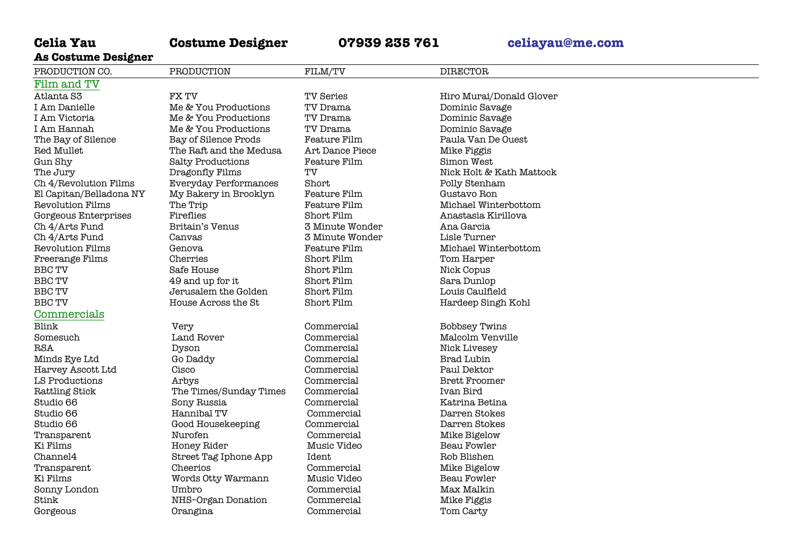# **Celia Yau Costume Designer 07939 235 761 celiayau@me.com**

**As Costume Designer**

| ___ _________ _______   |                              |                     |                          |
|-------------------------|------------------------------|---------------------|--------------------------|
| PRODUCTION CO.          | PRODUCTION                   | FILM/TV             | <b>DIRECTOR</b>          |
| Film and TV             |                              |                     |                          |
| Atlanta <sub>S3</sub>   | <b>FXTV</b>                  | <b>TV Series</b>    | Hiro Murai/Donald Glover |
| I Am Danielle           | Me & You Productions         | TV Drama            | Dominic Savage           |
| I Am Victoria           | Me & You Productions         | TV Drama            | Dominic Savage           |
| I Am Hannah             | Me & You Productions         | TV Drama            | Dominic Savage           |
| The Bay of Silence      | Bay of Silence Prods         | Feature Film        | Paula Van De Ouest       |
| Red Mullet              | The Raft and the Medusa      | Art Dance Piece     | Mike Figgis              |
| Gun Shy                 | <b>Salty Productions</b>     | <b>Feature Film</b> | Simon West               |
| The Jury                | Dragonfly Films              | TV                  | Nick Holt & Kath Mattock |
| Ch 4/Revolution Films   | <b>Everyday Performances</b> | Short               | Polly Stenham            |
| El Capitan/Belladona NY | My Bakery in Brooklyn        | Feature Film        | Gustavo Ron              |
| Revolution Films        | The Trip                     | Feature Film        | Michael Winterbottom     |
| Gorgeous Enterprises    | Fireflies                    | Short Film          | Anastasia Kirillova      |
| Ch 4/Arts Fund          | Britain's Venus              | 3 Minute Wonder     | Ana Garcia               |
| Ch 4/Arts Fund          | Canvas                       | 3 Minute Wonder     | Lisle Turner             |
| <b>Revolution Films</b> | Genova                       | <b>Feature Film</b> | Michael Winterbottom     |
| Freerange Films         | Cherries                     | Short Film          | Tom Harper               |
| <b>BBC TV</b>           | Safe House                   | Short Film          | Nick Copus               |
| <b>BBC TV</b>           | 49 and up for it             | Short Film          | Sara Dunlop              |
| <b>BBC TV</b>           | Jerusalem the Golden         | Short Film          | Louis Caulfield          |
| <b>BBC TV</b>           | House Across the St          | Short Film          | Hardeep Singh Kohl       |
| Commercials             |                              |                     |                          |
| Blink                   | Very                         | Commercial          | <b>Bobbsey Twins</b>     |
| Somesuch                | Land Rover                   | Commercial          | Malcolm Venville         |
| <b>RSA</b>              | Dyson                        | Commercial          | Nick Livesey             |
| Minds Eye Ltd           | Go Daddy                     | Commercial          | <b>Brad Lubin</b>        |
| Harvey Ascott Ltd       | Cisco                        | Commercial          | Paul Dektor              |
| LS Productions          | Arbys                        | Commercial          | <b>Brett Froomer</b>     |
| <b>Rattling Stick</b>   | The Times/Sunday Times       | Commercial          | Ivan Bird                |
| Studio 66               | Sony Russia                  | Commercial          | Katrina Betina           |
| Studio 66               | Hannibal TV                  | Commercial          | Darren Stokes            |
| Studio 66               | Good Housekeeping            | Commercial          | Darren Stokes            |
| Transparent             | Nurofen                      | Commercial          | Mike Bigelow             |
| Ki Films                | Honey Rider                  | Music Video         | Beau Fowler              |
| Channel4                | Street Tag Iphone App        | Ident               | Rob Blishen              |
| Transparent             | Cheerios                     | Commercial          | Mike Bigelow             |
| Ki Films                | Words Otty Warmann           | Music Video         | Beau Fowler              |
| Sonny London            | Umbro                        | Commercial          | Max Malkin               |
| Stink                   | NHS-Organ Donation           | Commercial          | Mike Figgis              |
| Gorgeous                | Orangina                     | Commercial          | Tom Carty                |
|                         |                              |                     |                          |